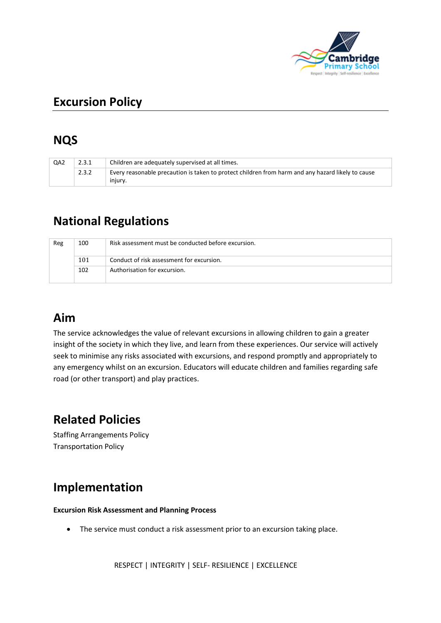

# **Excursion Policy**

### **NQS**

| QA <sub>2</sub> | 2.3.1 | Children are adequately supervised at all times.                                                             |  |
|-----------------|-------|--------------------------------------------------------------------------------------------------------------|--|
|                 | 2.3.2 | Every reasonable precaution is taken to protect children from harm and any hazard likely to cause<br>injury. |  |

# **National Regulations**

| Reg | 100 | Risk assessment must be conducted before excursion. |
|-----|-----|-----------------------------------------------------|
|     | 101 | Conduct of risk assessment for excursion.           |
|     | 102 | Authorisation for excursion.                        |

### **Aim**

The service acknowledges the value of relevant excursions in allowing children to gain a greater insight of the society in which they live, and learn from these experiences. Our service will actively seek to minimise any risks associated with excursions, and respond promptly and appropriately to any emergency whilst on an excursion. Educators will educate children and families regarding safe road (or other transport) and play practices.

# **Related Policies**

Staffing Arrangements Policy Transportation Policy

## **Implementation**

#### **Excursion Risk Assessment and Planning Process**

• The service must conduct a risk assessment prior to an excursion taking place.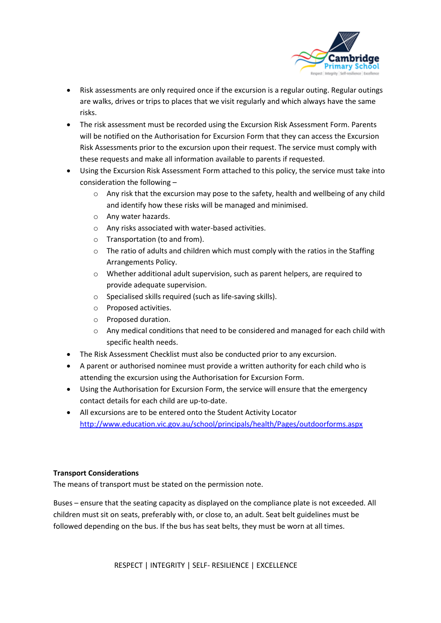

- Risk assessments are only required once if the excursion is a regular outing. Regular outings are walks, drives or trips to places that we visit regularly and which always have the same risks.
- The risk assessment must be recorded using the Excursion Risk Assessment Form. Parents will be notified on the Authorisation for Excursion Form that they can access the Excursion Risk Assessments prior to the excursion upon their request. The service must comply with these requests and make all information available to parents if requested.
- Using the Excursion Risk Assessment Form attached to this policy, the service must take into consideration the following –
	- $\circ$  Any risk that the excursion may pose to the safety, health and wellbeing of any child and identify how these risks will be managed and minimised.
	- o Any water hazards.
	- o Any risks associated with water-based activities.
	- o Transportation (to and from).
	- $\circ$  The ratio of adults and children which must comply with the ratios in the Staffing Arrangements Policy.
	- o Whether additional adult supervision, such as parent helpers, are required to provide adequate supervision.
	- o Specialised skills required (such as life-saving skills).
	- o Proposed activities.
	- o Proposed duration.
	- o Any medical conditions that need to be considered and managed for each child with specific health needs.
- The Risk Assessment Checklist must also be conducted prior to any excursion.
- A parent or authorised nominee must provide a written authority for each child who is attending the excursion using the Authorisation for Excursion Form.
- Using the Authorisation for Excursion Form, the service will ensure that the emergency contact details for each child are up-to-date.
- All excursions are to be entered onto the Student Activity Locator <http://www.education.vic.gov.au/school/principals/health/Pages/outdoorforms.aspx>

#### **Transport Considerations**

The means of transport must be stated on the permission note.

Buses – ensure that the seating capacity as displayed on the compliance plate is not exceeded. All children must sit on seats, preferably with, or close to, an adult. Seat belt guidelines must be followed depending on the bus. If the bus has seat belts, they must be worn at all times.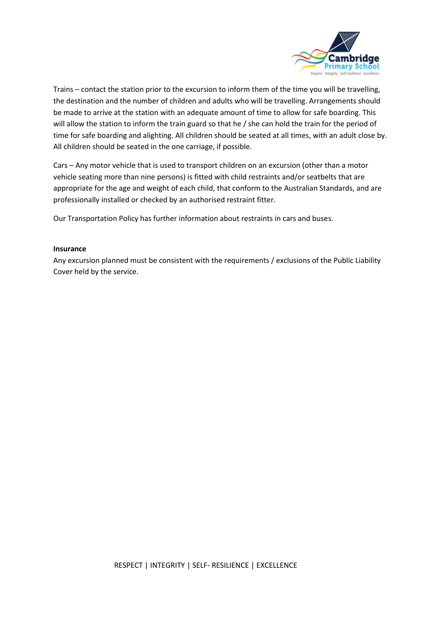

Trains – contact the station prior to the excursion to inform them of the time you will be travelling, the destination and the number of children and adults who will be travelling. Arrangements should be made to arrive at the station with an adequate amount of time to allow for safe boarding. This will allow the station to inform the train guard so that he / she can hold the train for the period of time for safe boarding and alighting. All children should be seated at all times, with an adult close by. All children should be seated in the one carriage, if possible.

Cars – Any motor vehicle that is used to transport children on an excursion (other than a motor vehicle seating more than nine persons) is fitted with child restraints and/or seatbelts that are appropriate for the age and weight of each child, that conform to the Australian Standards, and are professionally installed or checked by an authorised restraint fitter.

Our Transportation Policy has further information about restraints in cars and buses.

#### **Insurance**

Any excursion planned must be consistent with the requirements / exclusions of the Public Liability Cover held by the service.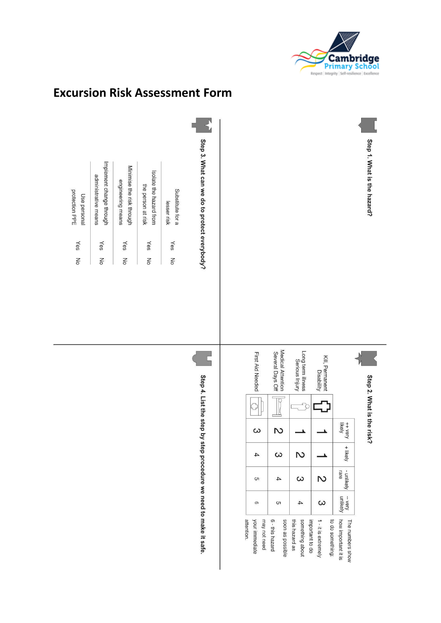



### **Excursion Risk Assessment Form**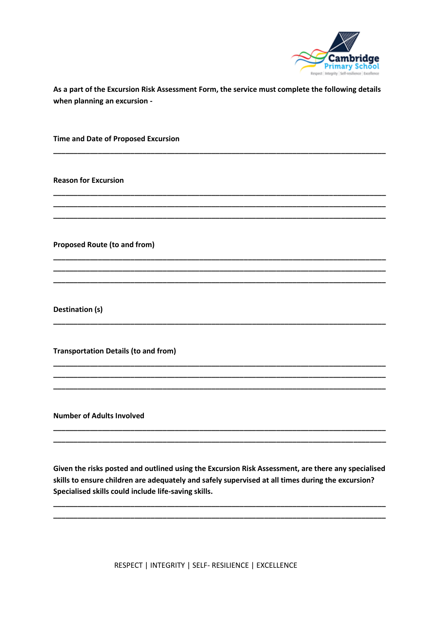

As a part of the Excursion Risk Assessment Form, the service must complete the following details when planning an excursion -

**Time and Date of Proposed Excursion** 

**Reason for Excursion** 

**Proposed Route (to and from)** 

Destination (s)

**Transportation Details (to and from)** 

**Number of Adults Involved** 

Given the risks posted and outlined using the Excursion Risk Assessment, are there any specialised skills to ensure children are adequately and safely supervised at all times during the excursion? Specialised skills could include life-saving skills.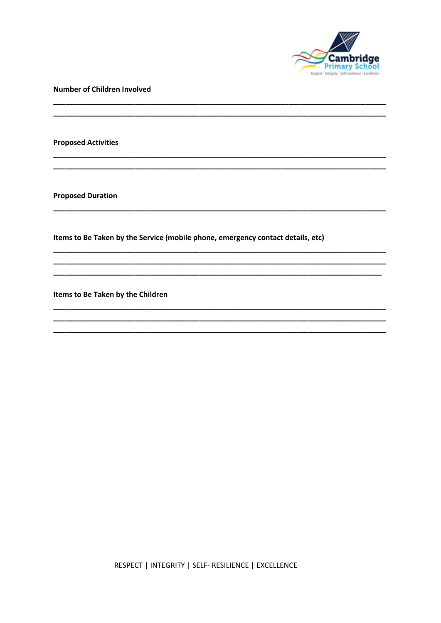

**Number of Children Involved** 

**Proposed Activities** 

**Proposed Duration** 

Items to Be Taken by the Service (mobile phone, emergency contact details, etc)

<u> 1989 - Johann Stoff, deutscher Stoff, der Stoff, der Stoff, der Stoff, der Stoff, der Stoff, der Stoff, der S</u>

Items to Be Taken by the Children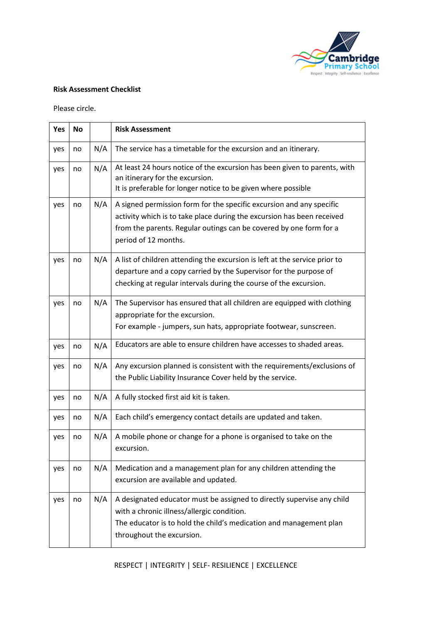

#### **Risk Assessment Checklist**

Please circle.

| Yes | <b>No</b> |     | <b>Risk Assessment</b>                                                                                                                                                                                                                       |  |  |  |
|-----|-----------|-----|----------------------------------------------------------------------------------------------------------------------------------------------------------------------------------------------------------------------------------------------|--|--|--|
| yes | no        | N/A | The service has a timetable for the excursion and an itinerary.                                                                                                                                                                              |  |  |  |
| yes | no        | N/A | At least 24 hours notice of the excursion has been given to parents, with<br>an itinerary for the excursion.<br>It is preferable for longer notice to be given where possible                                                                |  |  |  |
| yes | no        | N/A | A signed permission form for the specific excursion and any specific<br>activity which is to take place during the excursion has been received<br>from the parents. Regular outings can be covered by one form for a<br>period of 12 months. |  |  |  |
| yes | no        | N/A | A list of children attending the excursion is left at the service prior to<br>departure and a copy carried by the Supervisor for the purpose of<br>checking at regular intervals during the course of the excursion.                         |  |  |  |
| yes | no        | N/A | The Supervisor has ensured that all children are equipped with clothing<br>appropriate for the excursion.<br>For example - jumpers, sun hats, appropriate footwear, sunscreen.                                                               |  |  |  |
| yes | no        | N/A | Educators are able to ensure children have accesses to shaded areas.                                                                                                                                                                         |  |  |  |
| yes | no        | N/A | Any excursion planned is consistent with the requirements/exclusions of<br>the Public Liability Insurance Cover held by the service.                                                                                                         |  |  |  |
| yes | no        | N/A | A fully stocked first aid kit is taken.                                                                                                                                                                                                      |  |  |  |
| yes | no        | N/A | Each child's emergency contact details are updated and taken.                                                                                                                                                                                |  |  |  |
| yes | no        | N/A | A mobile phone or change for a phone is organised to take on the<br>excursion.                                                                                                                                                               |  |  |  |
| yes | no        | N/A | Medication and a management plan for any children attending the<br>excursion are available and updated.                                                                                                                                      |  |  |  |
| yes | no        | N/A | A designated educator must be assigned to directly supervise any child<br>with a chronic illness/allergic condition.<br>The educator is to hold the child's medication and management plan<br>throughout the excursion.                      |  |  |  |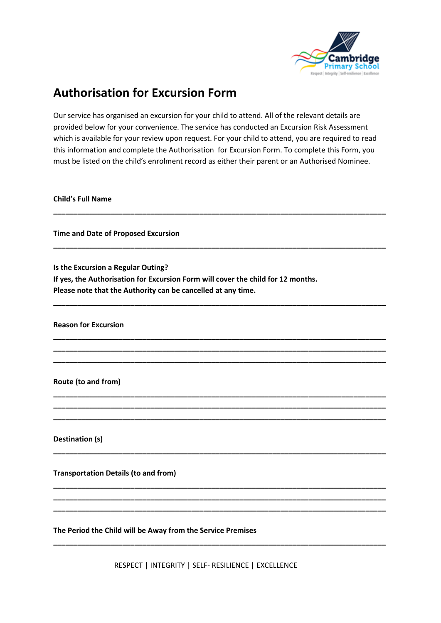

### **Authorisation for Excursion Form**

Our service has organised an excursion for your child to attend. All of the relevant details are provided below for your convenience. The service has conducted an Excursion Risk Assessment which is available for your review upon request. For your child to attend, you are required to read this information and complete the Authorisation for Excursion Form. To complete this Form, you must be listed on the child's enrolment record as either their parent or an Authorised Nominee.

**\_\_\_\_\_\_\_\_\_\_\_\_\_\_\_\_\_\_\_\_\_\_\_\_\_\_\_\_\_\_\_\_\_\_\_\_\_\_\_\_\_\_\_\_\_\_\_\_\_\_\_\_\_\_\_\_\_\_\_\_\_\_\_\_\_\_\_\_\_\_\_\_\_\_\_\_\_\_\_\_\_\_**

**\_\_\_\_\_\_\_\_\_\_\_\_\_\_\_\_\_\_\_\_\_\_\_\_\_\_\_\_\_\_\_\_\_\_\_\_\_\_\_\_\_\_\_\_\_\_\_\_\_\_\_\_\_\_\_\_\_\_\_\_\_\_\_\_\_\_\_\_\_\_\_\_\_\_\_\_\_\_\_\_\_\_**

**\_\_\_\_\_\_\_\_\_\_\_\_\_\_\_\_\_\_\_\_\_\_\_\_\_\_\_\_\_\_\_\_\_\_\_\_\_\_\_\_\_\_\_\_\_\_\_\_\_\_\_\_\_\_\_\_\_\_\_\_\_\_\_\_\_\_\_\_\_\_\_\_\_\_\_\_\_\_\_\_\_\_**

**\_\_\_\_\_\_\_\_\_\_\_\_\_\_\_\_\_\_\_\_\_\_\_\_\_\_\_\_\_\_\_\_\_\_\_\_\_\_\_\_\_\_\_\_\_\_\_\_\_\_\_\_\_\_\_\_\_\_\_\_\_\_\_\_\_\_\_\_\_\_\_\_\_\_\_\_\_\_\_\_\_\_ \_\_\_\_\_\_\_\_\_\_\_\_\_\_\_\_\_\_\_\_\_\_\_\_\_\_\_\_\_\_\_\_\_\_\_\_\_\_\_\_\_\_\_\_\_\_\_\_\_\_\_\_\_\_\_\_\_\_\_\_\_\_\_\_\_\_\_\_\_\_\_\_\_\_\_\_\_\_\_\_\_\_ \_\_\_\_\_\_\_\_\_\_\_\_\_\_\_\_\_\_\_\_\_\_\_\_\_\_\_\_\_\_\_\_\_\_\_\_\_\_\_\_\_\_\_\_\_\_\_\_\_\_\_\_\_\_\_\_\_\_\_\_\_\_\_\_\_\_\_\_\_\_\_\_\_\_\_\_\_\_\_\_\_\_**

**\_\_\_\_\_\_\_\_\_\_\_\_\_\_\_\_\_\_\_\_\_\_\_\_\_\_\_\_\_\_\_\_\_\_\_\_\_\_\_\_\_\_\_\_\_\_\_\_\_\_\_\_\_\_\_\_\_\_\_\_\_\_\_\_\_\_\_\_\_\_\_\_\_\_\_\_\_\_\_\_\_\_ \_\_\_\_\_\_\_\_\_\_\_\_\_\_\_\_\_\_\_\_\_\_\_\_\_\_\_\_\_\_\_\_\_\_\_\_\_\_\_\_\_\_\_\_\_\_\_\_\_\_\_\_\_\_\_\_\_\_\_\_\_\_\_\_\_\_\_\_\_\_\_\_\_\_\_\_\_\_\_\_\_\_ \_\_\_\_\_\_\_\_\_\_\_\_\_\_\_\_\_\_\_\_\_\_\_\_\_\_\_\_\_\_\_\_\_\_\_\_\_\_\_\_\_\_\_\_\_\_\_\_\_\_\_\_\_\_\_\_\_\_\_\_\_\_\_\_\_\_\_\_\_\_\_\_\_\_\_\_\_\_\_\_\_\_**

**\_\_\_\_\_\_\_\_\_\_\_\_\_\_\_\_\_\_\_\_\_\_\_\_\_\_\_\_\_\_\_\_\_\_\_\_\_\_\_\_\_\_\_\_\_\_\_\_\_\_\_\_\_\_\_\_\_\_\_\_\_\_\_\_\_\_\_\_\_\_\_\_\_\_\_\_\_\_\_\_\_\_**

**\_\_\_\_\_\_\_\_\_\_\_\_\_\_\_\_\_\_\_\_\_\_\_\_\_\_\_\_\_\_\_\_\_\_\_\_\_\_\_\_\_\_\_\_\_\_\_\_\_\_\_\_\_\_\_\_\_\_\_\_\_\_\_\_\_\_\_\_\_\_\_\_\_\_\_\_\_\_\_\_\_\_ \_\_\_\_\_\_\_\_\_\_\_\_\_\_\_\_\_\_\_\_\_\_\_\_\_\_\_\_\_\_\_\_\_\_\_\_\_\_\_\_\_\_\_\_\_\_\_\_\_\_\_\_\_\_\_\_\_\_\_\_\_\_\_\_\_\_\_\_\_\_\_\_\_\_\_\_\_\_\_\_\_\_ \_\_\_\_\_\_\_\_\_\_\_\_\_\_\_\_\_\_\_\_\_\_\_\_\_\_\_\_\_\_\_\_\_\_\_\_\_\_\_\_\_\_\_\_\_\_\_\_\_\_\_\_\_\_\_\_\_\_\_\_\_\_\_\_\_\_\_\_\_\_\_\_\_\_\_\_\_\_\_\_\_\_**

**\_\_\_\_\_\_\_\_\_\_\_\_\_\_\_\_\_\_\_\_\_\_\_\_\_\_\_\_\_\_\_\_\_\_\_\_\_\_\_\_\_\_\_\_\_\_\_\_\_\_\_\_\_\_\_\_\_\_\_\_\_\_\_\_\_\_\_\_\_\_\_\_\_\_\_\_\_\_\_\_\_\_**

**Child's Full Name** 

**Time and Date of Proposed Excursion**

**Is the Excursion a Regular Outing?** 

**If yes, the Authorisation for Excursion Form will cover the child for 12 months. Please note that the Authority can be cancelled at any time.**

**Reason for Excursion**

**Route (to and from)**

**Destination (s)** 

**Transportation Details (to and from)**

**The Period the Child will be Away from the Service Premises**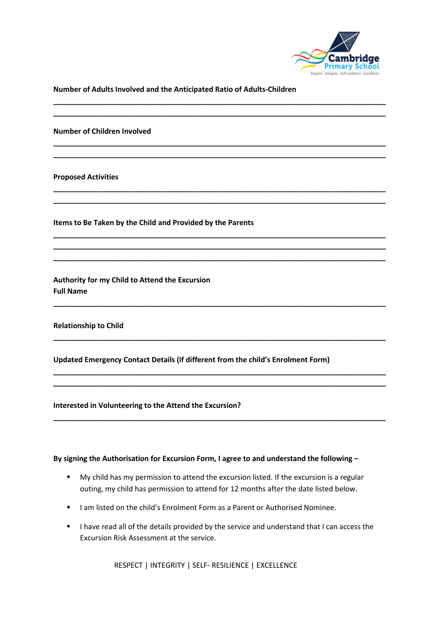

**Number of Adults Involved and the Anticipated Ratio of Adults-Children**

**\_\_\_\_\_\_\_\_\_\_\_\_\_\_\_\_\_\_\_\_\_\_\_\_\_\_\_\_\_\_\_\_\_\_\_\_\_\_\_\_\_\_\_\_\_\_\_\_\_\_\_\_\_\_\_\_\_\_\_\_\_\_\_\_\_\_\_\_\_\_\_\_\_\_\_\_\_\_\_\_\_\_ \_\_\_\_\_\_\_\_\_\_\_\_\_\_\_\_\_\_\_\_\_\_\_\_\_\_\_\_\_\_\_\_\_\_\_\_\_\_\_\_\_\_\_\_\_\_\_\_\_\_\_\_\_\_\_\_\_\_\_\_\_\_\_\_\_\_\_\_\_\_\_\_\_\_\_\_\_\_\_\_\_\_**

**\_\_\_\_\_\_\_\_\_\_\_\_\_\_\_\_\_\_\_\_\_\_\_\_\_\_\_\_\_\_\_\_\_\_\_\_\_\_\_\_\_\_\_\_\_\_\_\_\_\_\_\_\_\_\_\_\_\_\_\_\_\_\_\_\_\_\_\_\_\_\_\_\_\_\_\_\_\_\_\_\_\_ \_\_\_\_\_\_\_\_\_\_\_\_\_\_\_\_\_\_\_\_\_\_\_\_\_\_\_\_\_\_\_\_\_\_\_\_\_\_\_\_\_\_\_\_\_\_\_\_\_\_\_\_\_\_\_\_\_\_\_\_\_\_\_\_\_\_\_\_\_\_\_\_\_\_\_\_\_\_\_\_\_\_**

**\_\_\_\_\_\_\_\_\_\_\_\_\_\_\_\_\_\_\_\_\_\_\_\_\_\_\_\_\_\_\_\_\_\_\_\_\_\_\_\_\_\_\_\_\_\_\_\_\_\_\_\_\_\_\_\_\_\_\_\_\_\_\_\_\_\_\_\_\_\_\_\_\_\_\_\_\_\_\_\_\_\_ \_\_\_\_\_\_\_\_\_\_\_\_\_\_\_\_\_\_\_\_\_\_\_\_\_\_\_\_\_\_\_\_\_\_\_\_\_\_\_\_\_\_\_\_\_\_\_\_\_\_\_\_\_\_\_\_\_\_\_\_\_\_\_\_\_\_\_\_\_\_\_\_\_\_\_\_\_\_\_\_\_\_**

**\_\_\_\_\_\_\_\_\_\_\_\_\_\_\_\_\_\_\_\_\_\_\_\_\_\_\_\_\_\_\_\_\_\_\_\_\_\_\_\_\_\_\_\_\_\_\_\_\_\_\_\_\_\_\_\_\_\_\_\_\_\_\_\_\_\_\_\_\_\_\_\_\_\_\_\_\_\_\_\_\_\_ \_\_\_\_\_\_\_\_\_\_\_\_\_\_\_\_\_\_\_\_\_\_\_\_\_\_\_\_\_\_\_\_\_\_\_\_\_\_\_\_\_\_\_\_\_\_\_\_\_\_\_\_\_\_\_\_\_\_\_\_\_\_\_\_\_\_\_\_\_\_\_\_\_\_\_\_\_\_\_\_\_\_ \_\_\_\_\_\_\_\_\_\_\_\_\_\_\_\_\_\_\_\_\_\_\_\_\_\_\_\_\_\_\_\_\_\_\_\_\_\_\_\_\_\_\_\_\_\_\_\_\_\_\_\_\_\_\_\_\_\_\_\_\_\_\_\_\_\_\_\_\_\_\_\_\_\_\_\_\_\_\_\_\_\_**

**\_\_\_\_\_\_\_\_\_\_\_\_\_\_\_\_\_\_\_\_\_\_\_\_\_\_\_\_\_\_\_\_\_\_\_\_\_\_\_\_\_\_\_\_\_\_\_\_\_\_\_\_\_\_\_\_\_\_\_\_\_\_\_\_\_\_\_\_\_\_\_\_\_\_\_\_\_\_\_\_\_\_**

**\_\_\_\_\_\_\_\_\_\_\_\_\_\_\_\_\_\_\_\_\_\_\_\_\_\_\_\_\_\_\_\_\_\_\_\_\_\_\_\_\_\_\_\_\_\_\_\_\_\_\_\_\_\_\_\_\_\_\_\_\_\_\_\_\_\_\_\_\_\_\_\_\_\_\_\_\_\_\_\_\_\_**

**\_\_\_\_\_\_\_\_\_\_\_\_\_\_\_\_\_\_\_\_\_\_\_\_\_\_\_\_\_\_\_\_\_\_\_\_\_\_\_\_\_\_\_\_\_\_\_\_\_\_\_\_\_\_\_\_\_\_\_\_\_\_\_\_\_\_\_\_\_\_\_\_\_\_\_\_\_\_\_\_\_\_ \_\_\_\_\_\_\_\_\_\_\_\_\_\_\_\_\_\_\_\_\_\_\_\_\_\_\_\_\_\_\_\_\_\_\_\_\_\_\_\_\_\_\_\_\_\_\_\_\_\_\_\_\_\_\_\_\_\_\_\_\_\_\_\_\_\_\_\_\_\_\_\_\_\_\_\_\_\_\_\_\_\_**

**\_\_\_\_\_\_\_\_\_\_\_\_\_\_\_\_\_\_\_\_\_\_\_\_\_\_\_\_\_\_\_\_\_\_\_\_\_\_\_\_\_\_\_\_\_\_\_\_\_\_\_\_\_\_\_\_\_\_\_\_\_\_\_\_\_\_\_\_\_\_\_\_\_\_\_\_\_\_\_\_\_\_**

**Number of Children Involved**

**Proposed Activities**

**Items to Be Taken by the Child and Provided by the Parents**

**Authority for my Child to Attend the Excursion Full Name**

**Relationship to Child**

**Updated Emergency Contact Details (if different from the child's Enrolment Form)**

**Interested in Volunteering to the Attend the Excursion?**

**By signing the Authorisation for Excursion Form, I agree to and understand the following –**

- My child has my permission to attend the excursion listed. If the excursion is a regular outing, my child has permission to attend for 12 months after the date listed below.
- I am listed on the child's Enrolment Form as a Parent or Authorised Nominee.
- I have read all of the details provided by the service and understand that I can access the Excursion Risk Assessment at the service.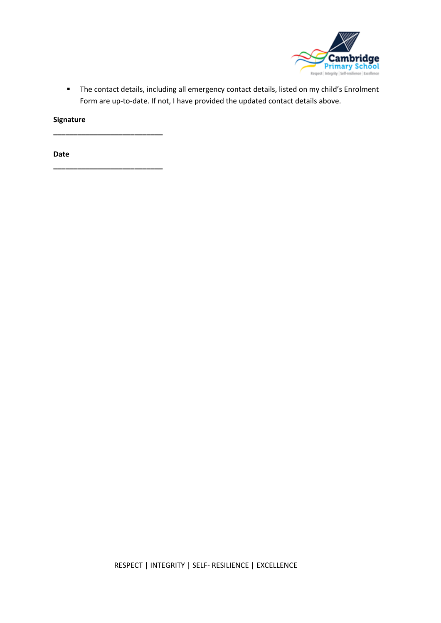

▪ The contact details, including all emergency contact details, listed on my child's Enrolment Form are up-to-date. If not, I have provided the updated contact details above.

**Signature**

**\_\_\_\_\_\_\_\_\_\_\_\_\_\_\_\_\_\_\_\_\_\_\_\_\_\_\_**

**\_\_\_\_\_\_\_\_\_\_\_\_\_\_\_\_\_\_\_\_\_\_\_\_\_\_\_**

**Date**